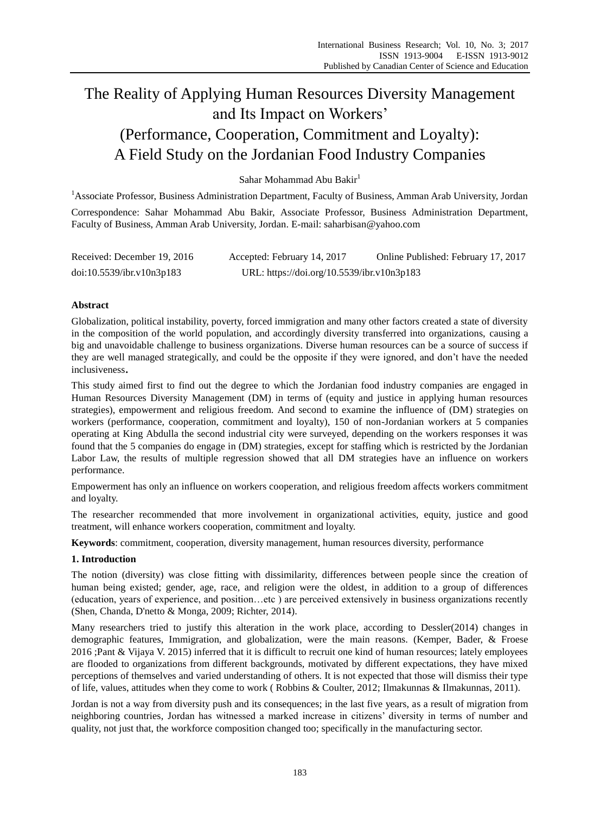# The Reality of Applying Human Resources Diversity Management and Its Impact on Workers' (Performance, Cooperation, Commitment and Loyalty): A Field Study on the Jordanian Food Industry Companies

Sahar Mohammad Abu Bakir<sup>1</sup>

<sup>1</sup>Associate Professor, Business Administration Department, Faculty of Business, Amman Arab University, Jordan

Correspondence: Sahar Mohammad Abu Bakir, Associate Professor, Business Administration Department, Faculty of Business, Amman Arab University, Jordan. E-mail: saharbisan@yahoo.com

| Received: December 19, 2016 | Accepted: February 14, 2017                | Online Published: February 17, 2017 |
|-----------------------------|--------------------------------------------|-------------------------------------|
| doi:10.5539/ibr.v10n3p183   | URL: https://doi.org/10.5539/ibr.v10n3p183 |                                     |

# **Abstract**

Globalization, political instability, poverty, forced immigration and many other factors created a state of diversity in the composition of the world population, and accordingly diversity transferred into organizations, causing a big and unavoidable challenge to business organizations. Diverse human resources can be a source of success if they are well managed strategically, and could be the opposite if they were ignored, and don't have the needed inclusiveness.

This study aimed first to find out the degree to which the Jordanian food industry companies are engaged in Human Resources Diversity Management (DM) in terms of (equity and justice in applying human resources strategies), empowerment and religious freedom. And second to examine the influence of (DM) strategies on workers (performance, cooperation, commitment and loyalty), 150 of non-Jordanian workers at 5 companies operating at King Abdulla the second industrial city were surveyed, depending on the workers responses it was found that the 5 companies do engage in (DM) strategies, except for staffing which is restricted by the Jordanian Labor Law, the results of multiple regression showed that all DM strategies have an influence on workers performance.

Empowerment has only an influence on workers cooperation, and religious freedom affects workers commitment and loyalty.

The researcher recommended that more involvement in organizational activities, equity, justice and good treatment, will enhance workers cooperation, commitment and loyalty.

**Keywords**: commitment, cooperation, diversity management, human resources diversity, performance

# **1. Introduction**

The notion (diversity) was close fitting with dissimilarity, differences between people since the creation of human being existed; gender, age, race, and religion were the oldest, in addition to a group of differences (education, years of experience, and position…etc ) are perceived extensively in business organizations recently (Shen, Chanda, D'netto & Monga, 2009; Richter, 2014).

Many researchers tried to justify this alteration in the work place, according to Dessler(2014) changes in demographic features, Immigration, and globalization, were the main reasons. (Kemper, Bader, & Froese 2016 ;Pant & Vijaya V. 2015) inferred that it is difficult to recruit one kind of human resources; lately employees are flooded to organizations from different backgrounds, motivated by different expectations, they have mixed perceptions of themselves and varied understanding of others. It is not expected that those will dismiss their type of life, values, attitudes when they come to work ( Robbins & Coulter, 2012; Ilmakunnas & Ilmakunnas, 2011).

Jordan is not a way from diversity push and its consequences; in the last five years, as a result of migration from neighboring countries, Jordan has witnessed a marked increase in citizens' diversity in terms of number and quality, not just that, the workforce composition changed too; specifically in the manufacturing sector.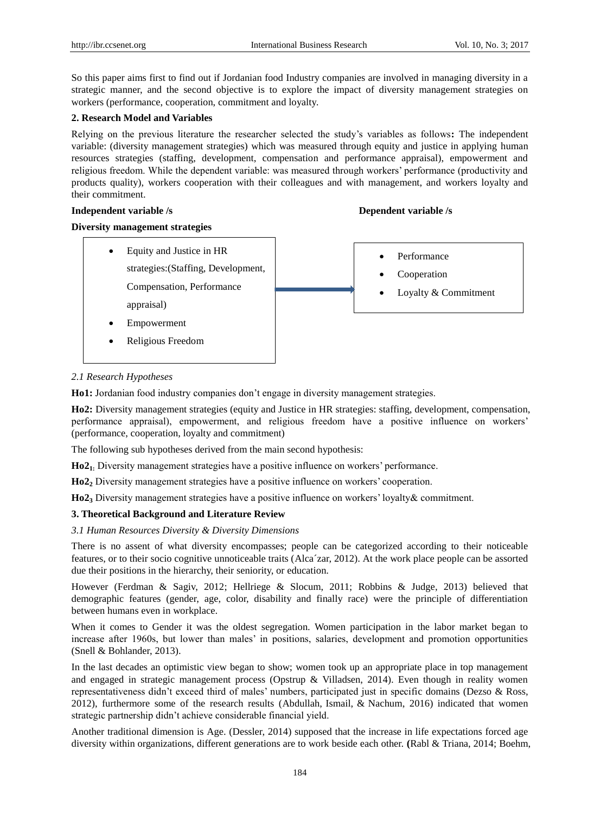So this paper aims first to find out if Jordanian food Industry companies are involved in managing diversity in a strategic manner, and the second objective is to explore the impact of diversity management strategies on workers (performance, cooperation, commitment and loyalty.

# **2. Research Model and Variables**

Relying on the previous literature the researcher selected the study's variables as follows**:** The independent variable: (diversity management strategies) which was measured through equity and justice in applying human resources strategies (staffing, development, compensation and performance appraisal), empowerment and religious freedom. While the dependent variable: was measured through workers' performance (productivity and products quality), workers cooperation with their colleagues and with management, and workers loyalty and their commitment.

# **Independent variable /s**  $\blacksquare$  **Dependent variable /s**

# **Diversity management strategies**

 Equity and Justice in HR strategies:(Staffing, Development, Compensation, Performance appraisal) Empowerment Religious Freedom • Performance • Cooperation Loyalty & Commitment

# *2.1 Research Hypotheses*

**Ho1:** Jordanian food industry companies don't engage in diversity management strategies.

**Ho2:** Diversity management strategies (equity and Justice in HR strategies: staffing, development, compensation, performance appraisal), empowerment, and religious freedom have a positive influence on workers' (performance, cooperation, loyalty and commitment)

The following sub hypotheses derived from the main second hypothesis:

**Ho21:** Diversity management strategies have a positive influence on workers' performance.

**Ho2<sup>2</sup>** Diversity management strategies have a positive influence on workers' cooperation.

**Ho2<sup>3</sup>** Diversity management strategies have a positive influence on workers' loyalty& commitment.

# **3. Theoretical Background and Literature Review**

# *3.1 Human Resources Diversity & Diversity Dimensions*

There is no assent of what diversity encompasses; people can be categorized according to their noticeable features, or to their socio cognitive unnoticeable traits (Alca´zar, 2012). At the work place people can be assorted due their positions in the hierarchy, their seniority, or education.

However (Ferdman & Sagiv, 2012; Hellriege & Slocum, 2011; Robbins & Judge, 2013) believed that demographic features (gender, age, color, disability and finally race) were the principle of differentiation between humans even in workplace.

When it comes to Gender it was the oldest segregation. Women participation in the labor market began to increase after 1960s, but lower than males' in positions, salaries, development and promotion opportunities (Snell & Bohlander, 2013).

In the last decades an optimistic view began to show; women took up an appropriate place in top management and engaged in strategic management process (Opstrup & Villadsen, 2014). Even though in reality women representativeness didn't exceed third of males' numbers, participated just in specific domains (Dezso & Ross, 2012), furthermore some of the research results (Abdullah, Ismail, & Nachum, 2016) indicated that women strategic partnership didn't achieve considerable financial yield.

Another traditional dimension is Age. (Dessler, 2014) supposed that the increase in life expectations forced age diversity within organizations, different generations are to work beside each other. **(**Rabl & Triana, 2014; Boehm,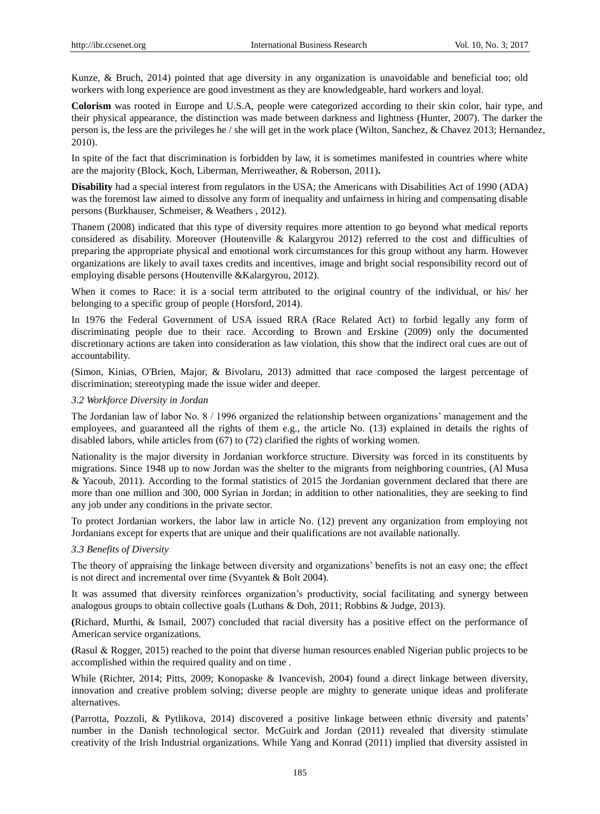Kunze, & Bruch, 2014) pointed that age diversity in any organization is unavoidable and beneficial too; old workers with long experience are good investment as they are knowledgeable, hard workers and loyal.

**Colorism** was rooted in Europe and U.S.A, people were categorized according to their skin color, hair type, and their physical appearance, the distinction was made between darkness and lightness (Hunter, 2007). The darker the person is, the less are the privileges he / she will get in the work place (Wilton, Sanchez, & Chavez 2013; Hernandez, 2010).

In spite of the fact that discrimination is forbidden by law, it is sometimes manifested in countries where white are the majority (Block, Koch, Liberman, Merriweather, & Roberson, 2011)**.**

**Disability** had a special interest from regulators in the USA; the Americans with Disabilities Act of 1990 (ADA) was the foremost law aimed to dissolve any form of inequality and unfairness in hiring and compensating disable persons (Burkhauser, Schmeiser, & Weathers , 2012).

Thanem (2008) indicated that this type of diversity requires more attention to go beyond what medical reports considered as disability. Moreover (Houtenville & Kalargyrou 2012) referred to the cost and difficulties of preparing the appropriate physical and emotional work circumstances for this group without any harm. However organizations are likely to avail taxes credits and incentives, image and bright social responsibility record out of employing disable persons (Houtenville &Kalargyrou, 2012).

When it comes to Race: it is a social term attributed to the original country of the individual, or his/ her belonging to a specific group of people (Horsford, 2014).

In 1976 the Federal Government of USA issued RRA (Race Related Act) to forbid legally any form of discriminating people due to their race. According to Brown and Erskine (2009) only the documented discretionary actions are taken into consideration as law violation, this show that the indirect oral cues are out of accountability.

(Simon, Kinias, O'Brien, Major, & Bivolaru, 2013) admitted that race composed the largest percentage of discrimination; stereotyping made the issue wider and deeper.

#### *3.2 Workforce Diversity in Jordan*

The Jordanian law of labor No. 8 / 1996 organized the relationship between organizations' management and the employees, and guaranteed all the rights of them e.g., the article No. (13) explained in details the rights of disabled labors, while articles from (67) to (72) clarified the rights of working women.

Nationality is the major diversity in Jordanian workforce structure. Diversity was forced in its constituents by migrations. Since 1948 up to now Jordan was the shelter to the migrants from neighboring countries, (Al Musa & Yacoub, 2011). According to the formal statistics of 2015 the Jordanian government declared that there are more than one million and 300, 000 Syrian in Jordan; in addition to other nationalities, they are seeking to find any job under any conditions in the private sector.

To protect Jordanian workers, the labor law in article No. (12) prevent any organization from employing not Jordanians except for experts that are unique and their qualifications are not available nationally.

### *3.3 Benefits of Diversity*

The theory of appraising the linkage between diversity and organizations' benefits is not an easy one; the effect is not direct and incremental over time (Svyantek & Bolt 2004).

It was assumed that diversity reinforces organization's productivity, social facilitating and synergy between analogous groups to obtain collective goals (Luthans & Doh, 2011; Robbins & Judge, 2013).

**(**Richard, Murthi, & Ismail, 0207) concluded that racial diversity has a positive effect on the performance of American service organizations.

**)**Rasul & Rogger, 2015) reached to the point that diverse human resources enabled Nigerian public projects to be accomplished within the required quality and on time .

While (Richter, 2014; Pitts, 2009; Konopaske & Ivancevish, 2004) found a direct linkage between diversity, innovation and creative problem solving; diverse people are mighty to generate unique ideas and proliferate alternatives.

(Parrotta, Pozzoli, & Pytlikova, 2014) discovered a positive linkage between ethnic diversity and patents' number in the Danish technological sector. McGuirk and Jordan (2011) revealed that diversity stimulate creativity of the Irish Industrial organizations. While Yang and Konrad (2011) implied that diversity assisted in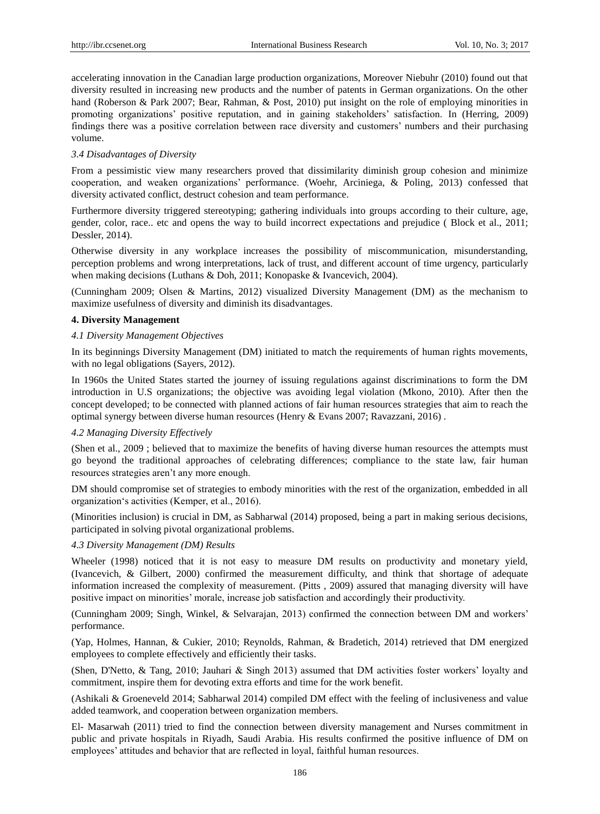accelerating innovation in the Canadian large production organizations, Moreover Niebuhr (2010) found out that diversity resulted in increasing new products and the number of patents in German organizations. On the other hand (Roberson & Park 2007; Bear, Rahman, & Post, 2010) put insight on the role of employing minorities in promoting organizations' positive reputation, and in gaining stakeholders' satisfaction. In (Herring, 2009) findings there was a positive correlation between race diversity and customers' numbers and their purchasing volume.

#### *3.4 Disadvantages of Diversity*

From a pessimistic view many researchers proved that dissimilarity diminish group cohesion and minimize cooperation, and weaken organizations' performance. (Woehr, Arciniega, & Poling, 2013) confessed that diversity activated conflict, destruct cohesion and team performance.

Furthermore diversity triggered stereotyping; gathering individuals into groups according to their culture, age, gender, color, race.. etc and opens the way to build incorrect expectations and prejudice ( Block et al., 2011; Dessler, 2014).

Otherwise diversity in any workplace increases the possibility of miscommunication, misunderstanding, perception problems and wrong interpretations, lack of trust, and different account of time urgency, particularly when making decisions (Luthans & Doh, 2011; Konopaske & Ivancevich, 2004).

(Cunningham 2009; Olsen & Martins, 2012) visualized Diversity Management (DM) as the mechanism to maximize usefulness of diversity and diminish its disadvantages.

# **4. Diversity Management**

#### *4.1 Diversity Management Objectives*

In its beginnings Diversity Management (DM) initiated to match the requirements of human rights movements, with no legal obligations (Sayers, 2012).

In 1960s the United States started the journey of issuing regulations against discriminations to form the DM introduction in U.S organizations; the objective was avoiding legal violation (Mkono, 2010). After then the concept developed; to be connected with planned actions of fair human resources strategies that aim to reach the optimal synergy between diverse human resources (Henry & Evans 2007; Ravazzani, 2016) .

#### *4.2 Managing Diversity Effectively*

(Shen et al., 2009 ; believed that to maximize the benefits of having diverse human resources the attempts must go beyond the traditional approaches of celebrating differences; compliance to the state law, fair human resources strategies aren't any more enough.

DM should compromise set of strategies to embody minorities with the rest of the organization, embedded in all organization's activities (Kemper, et al., 2016).

(Minorities inclusion) is crucial in DM, as Sabharwal (2014) proposed, being a part in making serious decisions, participated in solving pivotal organizational problems.

# *4.3 Diversity Management (DM) Results*

Wheeler (1998) noticed that it is not easy to measure DM results on productivity and monetary yield, (Ivancevich, & Gilbert, 2000) confirmed the measurement difficulty, and think that shortage of adequate information increased the complexity of measurement. (Pitts , 2009) assured that managing diversity will have positive impact on minorities' morale, increase job satisfaction and accordingly their productivity.

(Cunningham 2009; Singh, Winkel, & Selvarajan, 2013) confirmed the connection between DM and workers' performance.

(Yap, Holmes, Hannan, & Cukier, 2010; Reynolds, Rahman, & Bradetich, 2014) retrieved that DM energized employees to complete effectively and efficiently their tasks.

(Shen, D'Netto, & Tang, 2010; Jauhari & Singh 2013) assumed that DM activities foster workers' loyalty and commitment, inspire them for devoting extra efforts and time for the work benefit.

(Ashikali & Groeneveld 2014; Sabharwal 2014) compiled DM effect with the feeling of inclusiveness and value added teamwork, and cooperation between organization members.

El- Masarwah (2011) tried to find the connection between diversity management and Nurses commitment in public and private hospitals in Riyadh, Saudi Arabia. His results confirmed the positive influence of DM on employees' attitudes and behavior that are reflected in loyal, faithful human resources.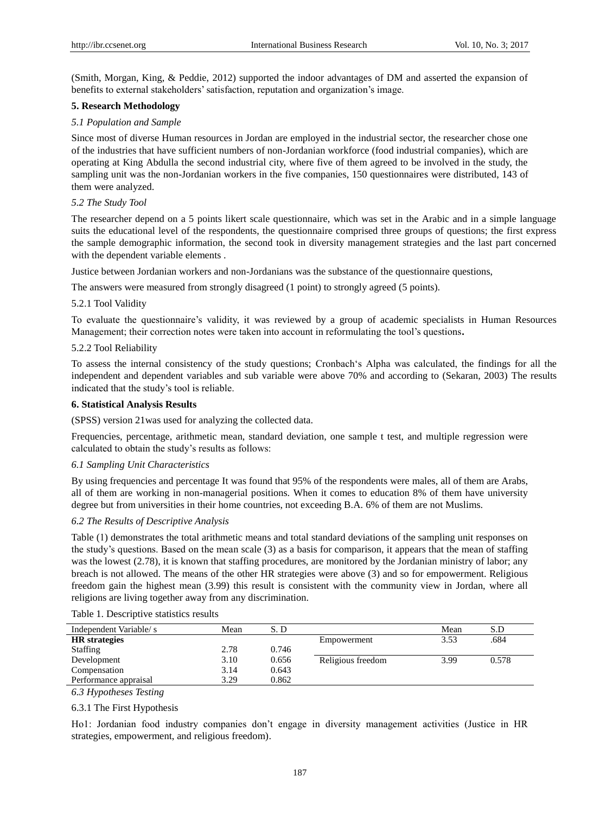(Smith, Morgan, King, & Peddie, 2012) supported the indoor advantages of DM and asserted the expansion of benefits to external stakeholders' satisfaction, reputation and organization's image.

### **5. Research Methodology**

### *5.1 Population and Sample*

Since most of diverse Human resources in Jordan are employed in the industrial sector, the researcher chose one of the industries that have sufficient numbers of non-Jordanian workforce (food industrial companies), which are operating at King Abdulla the second industrial city, where five of them agreed to be involved in the study, the sampling unit was the non-Jordanian workers in the five companies, 150 questionnaires were distributed, 143 of them were analyzed.

### *5.2 The Study Tool*

The researcher depend on a 5 points likert scale questionnaire, which was set in the Arabic and in a simple language suits the educational level of the respondents, the questionnaire comprised three groups of questions; the first express the sample demographic information, the second took in diversity management strategies and the last part concerned with the dependent variable elements .

Justice between Jordanian workers and non-Jordanians was the substance of the questionnaire questions,

The answers were measured from strongly disagreed (1 point) to strongly agreed (5 points).

#### 5.2.1 Tool Validity

To evaluate the questionnaire's validity, it was reviewed by a group of academic specialists in Human Resources Management; their correction notes were taken into account in reformulating the tool's questions**.** 

#### 5.2.2 Tool Reliability

To assess the internal consistency of the study questions; Cronbach's Alpha was calculated, the findings for all the independent and dependent variables and sub variable were above 70% and according to (Sekaran, 2003) The results indicated that the study's tool is reliable.

#### **6. Statistical Analysis Results**

(SPSS) version 21was used for analyzing the collected data.

Frequencies, percentage, arithmetic mean, standard deviation, one sample t test, and multiple regression were calculated to obtain the study's results as follows:

# *6.1 Sampling Unit Characteristics*

By using frequencies and percentage It was found that 95% of the respondents were males, all of them are Arabs, all of them are working in non-managerial positions. When it comes to education 8% of them have university degree but from universities in their home countries, not exceeding B.A. 6% of them are not Muslims.

#### *6.2 The Results of Descriptive Analysis*

Table (1) demonstrates the total arithmetic means and total standard deviations of the sampling unit responses on the study's questions. Based on the mean scale (3) as a basis for comparison, it appears that the mean of staffing was the lowest (2.78), it is known that staffing procedures, are monitored by the Jordanian ministry of labor; any breach is not allowed. The means of the other HR strategies were above (3) and so for empowerment. Religious freedom gain the highest mean (3.99) this result is consistent with the community view in Jordan, where all religions are living together away from any discrimination.

| Independent Variable/s | Mean | S.D   |                   | Mean | S.D   |
|------------------------|------|-------|-------------------|------|-------|
| <b>HR</b> strategies   |      |       | Empowerment       | 3.53 | .684  |
| <b>Staffing</b>        | 2.78 | 0.746 |                   |      |       |
| Development            | 3.10 | 0.656 | Religious freedom | 3.99 | 0.578 |
| Compensation           | 3.14 | 0.643 |                   |      |       |
| Performance appraisal  | 3.29 | 0.862 |                   |      |       |
| 63 Hypotheses Testing  |      |       |                   |      |       |

# Table 1. Descriptive statistics results

*6.3 Hypotheses Testing*

#### 6.3.1 The First Hypothesis

Ho1: Jordanian food industry companies don't engage in diversity management activities (Justice in HR strategies, empowerment, and religious freedom).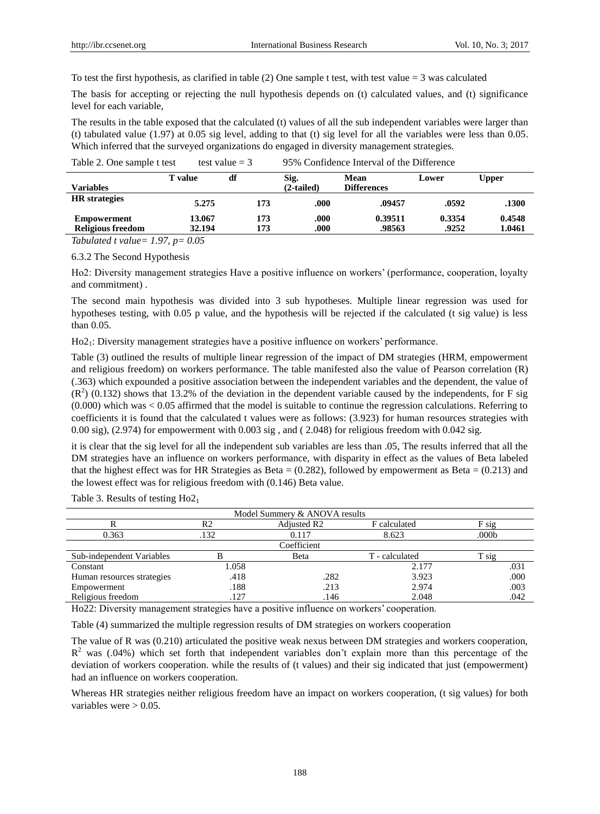To test the first hypothesis, as clarified in table (2) One sample t test, with test value  $=$  3 was calculated

The basis for accepting or rejecting the null hypothesis depends on (t) calculated values, and (t) significance level for each variable,

The results in the table exposed that the calculated (t) values of all the sub independent variables were larger than (t) tabulated value (1.97) at 0.05 sig level, adding to that (t) sig level for all the variables were less than 0.05. Which inferred that the surveyed organizations do engaged in diversity management strategies.

| Table 2. One sample t test              |                  | test value $=$ 3 | 95% Confidence Interval of the Difference |                            |                 |                  |
|-----------------------------------------|------------------|------------------|-------------------------------------------|----------------------------|-----------------|------------------|
| <b>Variables</b>                        | <b>T</b> value   | df               | Sig.<br>$(2-tailed)$                      | Mean<br><b>Differences</b> | Lower           | Upper            |
| <b>HR</b> strategies                    | 5.275            | 173              | .000                                      | .09457                     | .0592           | .1300            |
| Empowerment<br><b>Religious freedom</b> | 13.067<br>32.194 | 173<br>173       | .000<br>.000                              | 0.39511<br>.98563          | 0.3354<br>.9252 | 0.4548<br>1.0461 |

*Tabulated t value= 1.97, p= 0.05* 

6.3.2 The Second Hypothesis

Ho2: Diversity management strategies Have a positive influence on workers' (performance, cooperation, loyalty and commitment) .

The second main hypothesis was divided into 3 sub hypotheses. Multiple linear regression was used for hypotheses testing, with 0.05 p value, and the hypothesis will be rejected if the calculated (t sig value) is less than 0.05.

Ho21: Diversity management strategies have a positive influence on workers' performance.

Table (3) outlined the results of multiple linear regression of the impact of DM strategies (HRM, empowerment and religious freedom) on workers performance. The table manifested also the value of Pearson correlation (R) (.363) which expounded a positive association between the independent variables and the dependent, the value of  $(R<sup>2</sup>)$  (0.132) shows that 13.2% of the deviation in the dependent variable caused by the independents, for F sig (0.000) which was < 0.05 affirmed that the model is suitable to continue the regression calculations. Referring to coefficients it is found that the calculated t values were as follows: (3.923) for human resources strategies with 0.00 sig), (2.974) for empowerment with 0.003 sig , and ( 2.048) for religious freedom with 0.042 sig.

it is clear that the sig level for all the independent sub variables are less than .05, The results inferred that all the DM strategies have an influence on workers performance, with disparity in effect as the values of Beta labeled that the highest effect was for HR Strategies as Beta  $= (0.282)$ , followed by empowerment as Beta  $= (0.213)$  and the lowest effect was for religious freedom with (0.146) Beta value.

Model Summery & ANOVA results R R2 Adjusted R2 F calculated F sig 0.363 .132 .132 0.117 8.623 .000b Coefficient Sub-independent Variables B Beta T - calculated T sig Constant 1.058 2.177 .031 Human resources strategies .418 .282 3.923 .000 Empowerment

Table 3. Results of testing  $Ho2<sub>1</sub>$ 

Ho22: Diversity management strategies have a positive influence on workers' cooperation.

Table (4) summarized the multiple regression results of DM strategies on workers cooperation

The value of R was (0.210) articulated the positive weak nexus between DM strategies and workers cooperation,  $R<sup>2</sup>$  was (.04%) which set forth that independent variables don't explain more than this percentage of the deviation of workers cooperation. while the results of (t values) and their sig indicated that just (empowerment) had an influence on workers cooperation.

Religious freedom .127 .146 .042

Whereas HR strategies neither religious freedom have an impact on workers cooperation, (t sig values) for both variables were  $> 0.05$ .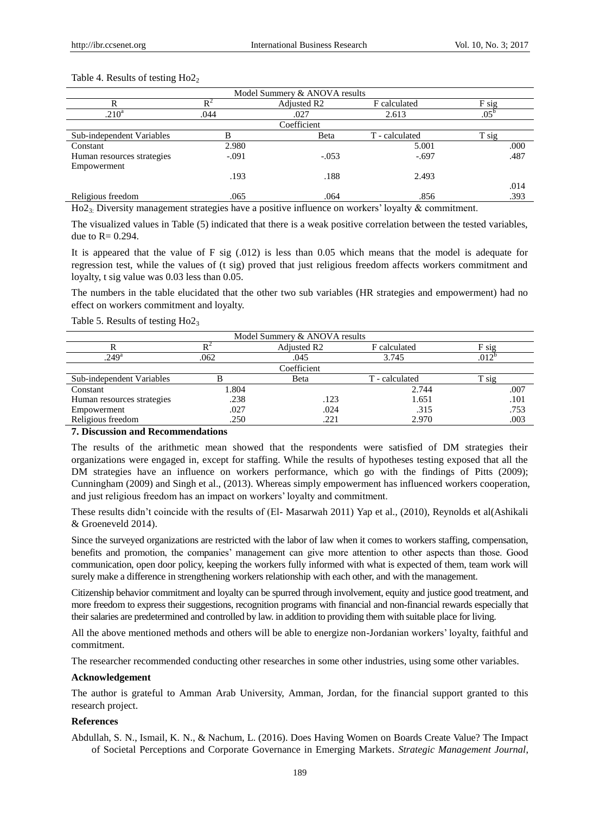#### Table 4. Results of testing  $Ho2<sub>2</sub>$

| Model Summery & ANOVA results                                                                                                                                                                                                                                                                                                           |         |                         |                                                                                                                                                                                                                                   |               |  |  |  |
|-----------------------------------------------------------------------------------------------------------------------------------------------------------------------------------------------------------------------------------------------------------------------------------------------------------------------------------------|---------|-------------------------|-----------------------------------------------------------------------------------------------------------------------------------------------------------------------------------------------------------------------------------|---------------|--|--|--|
|                                                                                                                                                                                                                                                                                                                                         |         | Adjusted R <sub>2</sub> | F calculated                                                                                                                                                                                                                      | F sig         |  |  |  |
| .210 <sup>a</sup>                                                                                                                                                                                                                                                                                                                       | .044    | .027                    | 2.613                                                                                                                                                                                                                             | $.05^{\circ}$ |  |  |  |
| Coefficient                                                                                                                                                                                                                                                                                                                             |         |                         |                                                                                                                                                                                                                                   |               |  |  |  |
| Sub-independent Variables                                                                                                                                                                                                                                                                                                               |         | Beta                    | T - calculated                                                                                                                                                                                                                    | T sig         |  |  |  |
| Constant                                                                                                                                                                                                                                                                                                                                | 2.980   |                         | 5.001                                                                                                                                                                                                                             | .000          |  |  |  |
| Human resources strategies                                                                                                                                                                                                                                                                                                              | $-.091$ | $-.053$                 | $-.697$                                                                                                                                                                                                                           | .487          |  |  |  |
| Empowerment                                                                                                                                                                                                                                                                                                                             |         |                         |                                                                                                                                                                                                                                   |               |  |  |  |
|                                                                                                                                                                                                                                                                                                                                         | .193    | .188                    | 2.493                                                                                                                                                                                                                             |               |  |  |  |
|                                                                                                                                                                                                                                                                                                                                         |         |                         |                                                                                                                                                                                                                                   | .014          |  |  |  |
| Religious freedom                                                                                                                                                                                                                                                                                                                       | .065    | .064                    | .856                                                                                                                                                                                                                              | .393          |  |  |  |
| $\mathbf{H} \cdot \mathbf{A}$ $\mathbf{D}$ $\mathbf{A}$ $\mathbf{B}$ $\mathbf{A}$ $\mathbf{A}$ $\mathbf{A}$ $\mathbf{A}$ $\mathbf{A}$ $\mathbf{A}$ $\mathbf{A}$ $\mathbf{A}$ $\mathbf{A}$ $\mathbf{A}$ $\mathbf{A}$ $\mathbf{A}$ $\mathbf{A}$ $\mathbf{A}$ $\mathbf{A}$ $\mathbf{A}$ $\mathbf{A}$ $\mathbf{A}$ $\mathbf{A}$ $\mathbf{A$ |         |                         | $\sim$ . The contract of the contract of the contract of the contract of the contract $\sim$ 0. The contract of the contract of the contract of the contract of the contract of the contract of the contract of the contract of t |               |  |  |  |

Ho23: Diversity management strategies have a positive influence on workers' loyalty & commitment.

The visualized values in Table (5) indicated that there is a weak positive correlation between the tested variables, due to  $R = 0.294$ .

It is appeared that the value of F sig (.012) is less than 0.05 which means that the model is adequate for regression test, while the values of (t sig) proved that just religious freedom affects workers commitment and loyalty, t sig value was 0.03 less than 0.05.

The numbers in the table elucidated that the other two sub variables (HR strategies and empowerment) had no effect on workers commitment and loyalty.

Table 5. Results of testing Ho23

| Model Summery & ANOVA results |       |                         |                |                |  |  |
|-------------------------------|-------|-------------------------|----------------|----------------|--|--|
|                               |       | Adjusted R <sub>2</sub> | F calculated   | F sig          |  |  |
| .249 <sup>a</sup>             | .062  | .045                    | 3.745          | $.012^{\circ}$ |  |  |
| Coefficient                   |       |                         |                |                |  |  |
| Sub-independent Variables     |       | Beta                    | T - calculated | T sig          |  |  |
| Constant                      | 1.804 |                         | 2.744          | .007           |  |  |
| Human resources strategies    | .238  | .123                    | 1.651          | .101           |  |  |
| Empowerment                   | .027  | .024                    | .315           | .753           |  |  |
| Religious freedom             | .250  | .221                    | 2.970          | .003           |  |  |

# **7. Discussion and Recommendations**

The results of the arithmetic mean showed that the respondents were satisfied of DM strategies their organizations were engaged in, except for staffing. While the results of hypotheses testing exposed that all the DM strategies have an influence on workers performance, which go with the findings of Pitts (2009); Cunningham (2009) and Singh et al., (2013). Whereas simply empowerment has influenced workers cooperation, and just religious freedom has an impact on workers' loyalty and commitment.

These results didn't coincide with the results of (El- Masarwah 2011) Yap et al., (2010), Reynolds et al(Ashikali & Groeneveld 2014).

Since the surveyed organizations are restricted with the labor of law when it comes to workers staffing, compensation, benefits and promotion, the companies' management can give more attention to other aspects than those. Good communication, open door policy, keeping the workers fully informed with what is expected of them, team work will surely make a difference in strengthening workers relationship with each other, and with the management.

Citizenship behavior commitment and loyalty can be spurred through involvement, equity and justice good treatment, and more freedom to express their suggestions, recognition programs with financial and non-financial rewards especially that their salaries are predetermined and controlled by law. in addition to providing them with suitable place for living.

All the above mentioned methods and others will be able to energize non-Jordanian workers' loyalty, faithful and commitment.

The researcher recommended conducting other researches in some other industries, using some other variables.

#### **Acknowledgement**

The author is grateful to Amman Arab University, Amman, Jordan, for the financial support granted to this research project.

# **References**

Abdullah, S. N., Ismail, K. N., & Nachum, L. (2016). Does Having Women on Boards Create Value? The Impact of Societal Perceptions and Corporate Governance in Emerging Markets. *Strategic Management Journal*,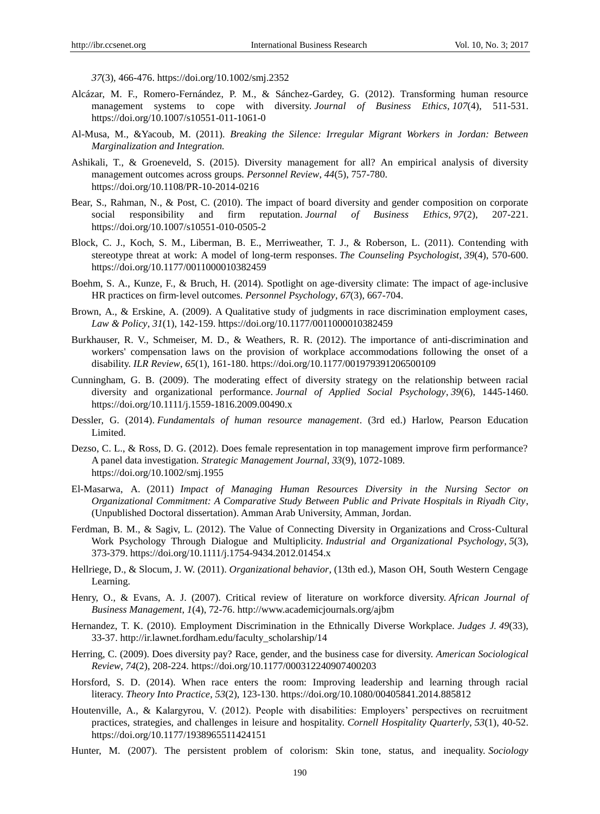*37*(3), 466-476. https://doi.org/10.1002/smj.2352

- Alcázar, M. F., Romero-Fernández, P. M., & Sánchez-Gardey, G. (2012). Transforming human resource management systems to cope with diversity. *Journal of Business Ethics*, *107*(4), 511-531. https://doi.org/10.1007/s10551-011-1061-0
- Al-Musa, M., &Yacoub, M. (2011). *Breaking the Silence: Irregular Migrant Workers in Jordan: Between Marginalization and Integration.*
- Ashikali, T., & Groeneveld, S. (2015). Diversity management for all? An empirical analysis of diversity management outcomes across groups. *Personnel Review*, *44*(5), 757-780. https://doi.org/10.1108/PR-10-2014-0216
- Bear, S., Rahman, N., & Post, C. (2010). The impact of board diversity and gender composition on corporate social responsibility and firm reputation. *Journal of Business Ethics*, *97*(2), 207-221. https://doi.org/10.1007/s10551-010-0505-2
- Block, C. J., Koch, S. M., Liberman, B. E., Merriweather, T. J., & Roberson, L. (2011). Contending with stereotype threat at work: A model of long-term responses. *The Counseling Psychologist*, *39*(4), 570-600. https://doi.org/10.1177/0011000010382459
- Boehm, S. A., Kunze, F., & Bruch, H. (2014). Spotlight on age-diversity climate: The impact of age-inclusive HR practices on firm‐level outcomes. *Personnel Psychology*, *67*(3), 667-704.
- Brown, A., & Erskine, A. (2009). A Qualitative study of judgments in race discrimination employment cases, *Law & Policy*, *31*(1), 142-159. https://doi.org/10.1177/0011000010382459
- Burkhauser, R. V., Schmeiser, M. D., & Weathers, R. R. (2012). The importance of anti-discrimination and workers' compensation laws on the provision of workplace accommodations following the onset of a disability. *ILR Review*, *65*(1), 161-180. https://doi.org/10.1177/001979391206500109
- Cunningham, G. B. (2009). The moderating effect of diversity strategy on the relationship between racial diversity and organizational performance. *Journal of Applied Social Psychology*, *39*(6), 1445-1460. https://doi.org/10.1111/j.1559-1816.2009.00490.x
- Dessler, G. (2014). *Fundamentals of human resource management*. (3rd ed.) Harlow, Pearson Education Limited.
- Dezso, C. L., & Ross, D. G. (2012). Does female representation in top management improve firm performance? A panel data investigation. *Strategic Management Journal*, *33*(9), 1072-1089. https://doi.org/10.1002/smj.1955
- El-Masarwa, A. (2011) *Impact of Managing Human Resources Diversity in the Nursing Sector on Organizational Commitment: A Comparative Study Between Public and Private Hospitals in Riyadh City*, (Unpublished Doctoral dissertation). Amman Arab University, Amman, Jordan.
- Ferdman, B. M., & Sagiv, L. (2012). The Value of Connecting Diversity in Organizations and Cross‐Cultural Work Psychology Through Dialogue and Multiplicity. *Industrial and Organizational Psychology*, *5*(3), 373-379. https://doi.org/10.1111/j.1754-9434.2012.01454.x
- Hellriege, D., & Slocum, J. W. (2011). *Organizational behavior*, (13th ed.), Mason OH, South Western Cengage Learning.
- Henry, O., & Evans, A. J. (2007). Critical review of literature on workforce diversity. *African Journal of Business Management*, *1*(4), 72-76. http://www.academicjournals.org/ajbm
- Hernandez, T. K. (2010). Employment Discrimination in the Ethnically Diverse Workplace. *Judges J. 49*(33), 33-37. [http://ir.lawnet.fordham.edu/faculty\\_scholarship/14](http://ir.lawnet.fordham.edu/faculty_scholarship/14)
- Herring, C. (2009). Does diversity pay? Race, gender, and the business case for diversity. *American Sociological Review*, *74*(2), 208-224. https://doi.org/10.1177/000312240907400203
- Horsford, S. D. (2014). When race enters the room: Improving leadership and learning through racial literacy. *Theory Into Practice*, *53*(2), 123-130. https://doi.org/10.1080/00405841.2014.885812
- Houtenville, A., & Kalargyrou, V. (2012). People with disabilities: Employers' perspectives on recruitment practices, strategies, and challenges in leisure and hospitality. *Cornell Hospitality Quarterly*, *53*(1), 40-52. https://doi.org/10.1177/1938965511424151
- Hunter, M. (2007). The persistent problem of colorism: Skin tone, status, and inequality. *Sociology*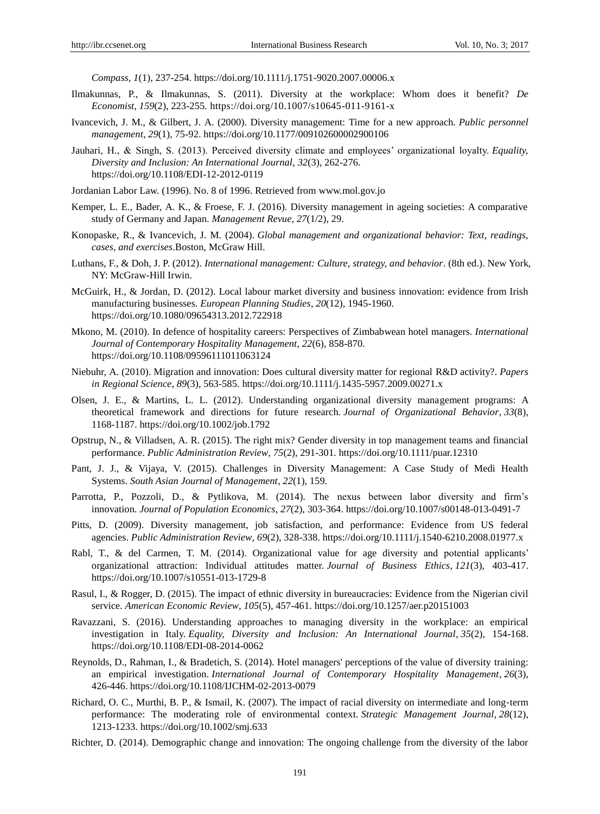*Compass*, *1*(1), 237-254. https://doi.org/10.1111/j.1751-9020.2007.00006.x

- Ilmakunnas, P., & Ilmakunnas, S. (2011). Diversity at the workplace: Whom does it benefit? *De Economist*, *159*(2), 223-255. https://doi.org/10.1007/s10645-011-9161-x
- Ivancevich, J. M., & Gilbert, J. A. (2000). Diversity management: Time for a new approach. *Public personnel management*, *29*(1), 75-92. https://doi.org/10.1177/009102600002900106
- Jauhari, H., & Singh, S. (2013). Perceived diversity climate and employees' organizational loyalty. *Equality, Diversity and Inclusion: An International Journal*, *32*(3), 262-276. https://doi.org/10.1108/EDI-12-2012-0119
- Jordanian Labor Law. (1996). No. 8 of 1996. Retrieved from www.mol.gov.jo
- Kemper, L. E., Bader, A. K., & Froese, F. J. (2016). Diversity management in ageing societies: A comparative study of Germany and Japan. *Management Revue*, *27*(1/2), 29.
- Konopaske, R., & Ivancevich, J. M. (2004). *Global management and organizational behavior: Text, readings, cases, and exercises*.Boston, McGraw Hill.
- Luthans, F., & Doh, J. P. (2012). *International management: Culture, strategy, and behavior*. (8th ed.). New York, NY: McGraw-Hill Irwin.
- McGuirk, H., & Jordan, D. (2012). Local labour market diversity and business innovation: evidence from Irish manufacturing businesses. *European Planning Studies*, *20*(12), 1945-1960. https://doi.org/10.1080/09654313.2012.722918
- Mkono, M. (2010). In defence of hospitality careers: Perspectives of Zimbabwean hotel managers. *International Journal of Contemporary Hospitality Management*, *22*(6), 858-870. https://doi.org/10.1108/09596111011063124
- Niebuhr, A. (2010). Migration and innovation: Does cultural diversity matter for regional R&D activity?. *Papers in Regional Science*, *89*(3), 563-585. https://doi.org/10.1111/j.1435-5957.2009.00271.x
- Olsen, J. E., & Martins, L. L. (2012). Understanding organizational diversity management programs: A theoretical framework and directions for future research. *Journal of Organizational Behavior*, *33*(8), 1168-1187. https://doi.org/10.1002/job.1792
- Opstrup, N., & Villadsen, A. R. (2015). The right mix? Gender diversity in top management teams and financial performance. *Public Administration Review*, *75*(2), 291-301. https://doi.org/10.1111/puar.12310
- Pant, J. J., & Vijaya, V. (2015). Challenges in Diversity Management: A Case Study of Medi Health Systems. *South Asian Journal of Management*, *22*(1), 159.
- Parrotta, P., Pozzoli, D., & Pytlikova, M. (2014). The nexus between labor diversity and firm's innovation. *Journal of Population Economics*, *27*(2), 303-364. https://doi.org/10.1007/s00148-013-0491-7
- Pitts, D. (2009). Diversity management, job satisfaction, and performance: Evidence from US federal agencies. *Public Administration Review*, *69*(2), 328-338. https://doi.org/10.1111/j.1540-6210.2008.01977.x
- Rabl, T., & del Carmen, T. M. (2014). Organizational value for age diversity and potential applicants' organizational attraction: Individual attitudes matter. *Journal of Business Ethics*, *121*(3), 403-417. https://doi.org/10.1007/s10551-013-1729-8
- Rasul, I., & Rogger, D. (2015). The impact of ethnic diversity in bureaucracies: Evidence from the Nigerian civil service. *American Economic Review*, *105*(5), 457-461. https://doi.org/10.1257/aer.p20151003
- Ravazzani, S. (2016). Understanding approaches to managing diversity in the workplace: an empirical investigation in Italy. *Equality, Diversity and Inclusion: An International Journal*, *35*(2), 154-168. https://doi.org/10.1108/EDI-08-2014-0062
- Reynolds, D., Rahman, I., & Bradetich, S. (2014). Hotel managers' perceptions of the value of diversity training: an empirical investigation. *International Journal of Contemporary Hospitality Management*, *26*(3), 426-446. https://doi.org/10.1108/IJCHM-02-2013-0079
- Richard, O. C., Murthi, B. P., & Ismail, K. (2007). The impact of racial diversity on intermediate and long-term performance: The moderating role of environmental context. *Strategic Management Journal*, *28*(12), 1213-1233. https://doi.org/10.1002/smj.633
- Richter, D. (2014). Demographic change and innovation: The ongoing challenge from the diversity of the labor